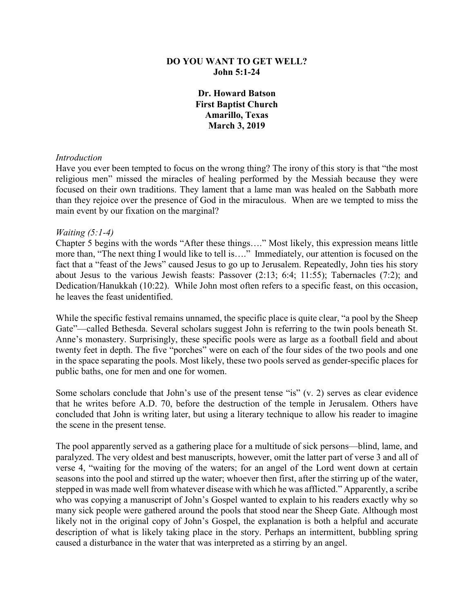### **DO YOU WANT TO GET WELL? John 5:1-24**

**Dr. Howard Batson First Baptist Church Amarillo, Texas March 3, 2019**

#### *Introduction*

Have you ever been tempted to focus on the wrong thing? The irony of this story is that "the most religious men" missed the miracles of healing performed by the Messiah because they were focused on their own traditions. They lament that a lame man was healed on the Sabbath more than they rejoice over the presence of God in the miraculous. When are we tempted to miss the main event by our fixation on the marginal?

#### *Waiting (5:1-4)*

Chapter 5 begins with the words "After these things…." Most likely, this expression means little more than, "The next thing I would like to tell is…." Immediately, our attention is focused on the fact that a "feast of the Jews" caused Jesus to go up to Jerusalem. Repeatedly, John ties his story about Jesus to the various Jewish feasts: Passover (2:13; 6:4; 11:55); Tabernacles (7:2); and Dedication/Hanukkah (10:22). While John most often refers to a specific feast, on this occasion, he leaves the feast unidentified.

While the specific festival remains unnamed, the specific place is quite clear, "a pool by the Sheep Gate"—called Bethesda. Several scholars suggest John is referring to the twin pools beneath St. Anne's monastery. Surprisingly, these specific pools were as large as a football field and about twenty feet in depth. The five "porches" were on each of the four sides of the two pools and one in the space separating the pools. Most likely, these two pools served as gender-specific places for public baths, one for men and one for women.

Some scholars conclude that John's use of the present tense "is" (v. 2) serves as clear evidence that he writes before A.D. 70, before the destruction of the temple in Jerusalem. Others have concluded that John is writing later, but using a literary technique to allow his reader to imagine the scene in the present tense.

The pool apparently served as a gathering place for a multitude of sick persons—blind, lame, and paralyzed. The very oldest and best manuscripts, however, omit the latter part of verse 3 and all of verse 4, "waiting for the moving of the waters; for an angel of the Lord went down at certain seasons into the pool and stirred up the water; whoever then first, after the stirring up of the water, stepped in was made well from whatever disease with which he was afflicted." Apparently, a scribe who was copying a manuscript of John's Gospel wanted to explain to his readers exactly why so many sick people were gathered around the pools that stood near the Sheep Gate. Although most likely not in the original copy of John's Gospel, the explanation is both a helpful and accurate description of what is likely taking place in the story. Perhaps an intermittent, bubbling spring caused a disturbance in the water that was interpreted as a stirring by an angel.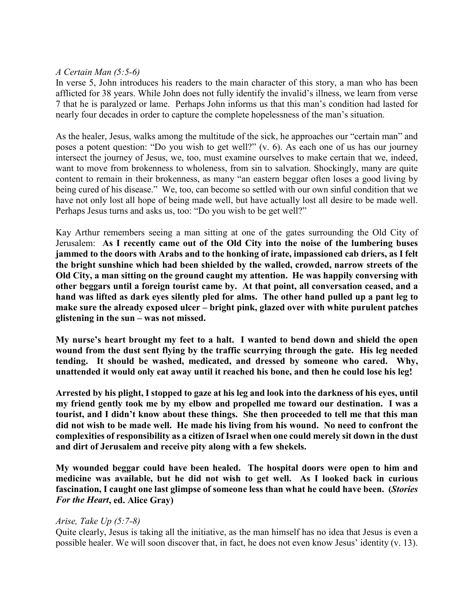#### *A Certain Man (5:5-6)*

In verse 5, John introduces his readers to the main character of this story, a man who has been afflicted for 38 years. While John does not fully identify the invalid's illness, we learn from verse 7 that he is paralyzed or lame. Perhaps John informs us that this man's condition had lasted for nearly four decades in order to capture the complete hopelessness of the man's situation.

As the healer, Jesus, walks among the multitude of the sick, he approaches our "certain man" and poses a potent question: "Do you wish to get well?" (v. 6). As each one of us has our journey intersect the journey of Jesus, we, too, must examine ourselves to make certain that we, indeed, want to move from brokenness to wholeness, from sin to salvation. Shockingly, many are quite content to remain in their brokenness, as many "an eastern beggar often loses a good living by being cured of his disease." We, too, can become so settled with our own sinful condition that we have not only lost all hope of being made well, but have actually lost all desire to be made well. Perhaps Jesus turns and asks us, too: "Do you wish to be get well?"

Kay Arthur remembers seeing a man sitting at one of the gates surrounding the Old City of Jerusalem: **As I recently came out of the Old City into the noise of the lumbering buses jammed to the doors with Arabs and to the honking of irate, impassioned cab driers, as I felt the bright sunshine which had been shielded by the walled, crowded, narrow streets of the Old City, a man sitting on the ground caught my attention. He was happily conversing with other beggars until a foreign tourist came by. At that point, all conversation ceased, and a hand was lifted as dark eyes silently pled for alms. The other hand pulled up a pant leg to make sure the already exposed ulcer – bright pink, glazed over with white purulent patches glistening in the sun – was not missed.**

**My nurse's heart brought my feet to a halt. I wanted to bend down and shield the open wound from the dust sent flying by the traffic scurrying through the gate. His leg needed tending. It should be washed, medicated, and dressed by someone who cared. Why, unattended it would only eat away until it reached his bone, and then he could lose his leg!**

**Arrested by his plight, I stopped to gaze at his leg and look into the darkness of his eyes, until my friend gently took me by my elbow and propelled me toward our destination. I was a tourist, and I didn't know about these things. She then proceeded to tell me that this man did not wish to be made well. He made his living from his wound. No need to confront the complexities of responsibility as a citizen of Israel when one could merely sit down in the dust and dirt of Jerusalem and receive pity along with a few shekels.**

**My wounded beggar could have been healed. The hospital doors were open to him and medicine was available, but he did not wish to get well. As I looked back in curious fascination, I caught one last glimpse of someone less than what he could have been. (***Stories For the Heart***, ed. Alice Gray)**

## *Arise, Take Up (5:7-8)*

Quite clearly, Jesus is taking all the initiative, as the man himself has no idea that Jesus is even a possible healer. We will soon discover that, in fact, he does not even know Jesus' identity (v. 13).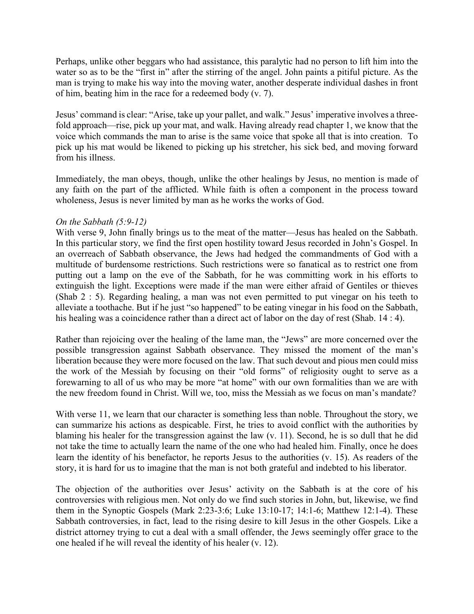Perhaps, unlike other beggars who had assistance, this paralytic had no person to lift him into the water so as to be the "first in" after the stirring of the angel. John paints a pitiful picture. As the man is trying to make his way into the moving water, another desperate individual dashes in front of him, beating him in the race for a redeemed body (v. 7).

Jesus' command is clear: "Arise, take up your pallet, and walk." Jesus' imperative involves a threefold approach—rise, pick up your mat, and walk. Having already read chapter 1, we know that the voice which commands the man to arise is the same voice that spoke all that is into creation. To pick up his mat would be likened to picking up his stretcher, his sick bed, and moving forward from his illness.

Immediately, the man obeys, though, unlike the other healings by Jesus, no mention is made of any faith on the part of the afflicted. While faith is often a component in the process toward wholeness, Jesus is never limited by man as he works the works of God.

#### *On the Sabbath (5:9-12)*

With verse 9, John finally brings us to the meat of the matter—Jesus has healed on the Sabbath. In this particular story, we find the first open hostility toward Jesus recorded in John's Gospel. In an overreach of Sabbath observance, the Jews had hedged the commandments of God with a multitude of burdensome restrictions. Such restrictions were so fanatical as to restrict one from putting out a lamp on the eve of the Sabbath, for he was committing work in his efforts to extinguish the light. Exceptions were made if the man were either afraid of Gentiles or thieves (Shab 2 : 5). Regarding healing, a man was not even permitted to put vinegar on his teeth to alleviate a toothache. But if he just "so happened" to be eating vinegar in his food on the Sabbath, his healing was a coincidence rather than a direct act of labor on the day of rest (Shab. 14 : 4).

Rather than rejoicing over the healing of the lame man, the "Jews" are more concerned over the possible transgression against Sabbath observance. They missed the moment of the man's liberation because they were more focused on the law. That such devout and pious men could miss the work of the Messiah by focusing on their "old forms" of religiosity ought to serve as a forewarning to all of us who may be more "at home" with our own formalities than we are with the new freedom found in Christ. Will we, too, miss the Messiah as we focus on man's mandate?

With verse 11, we learn that our character is something less than noble. Throughout the story, we can summarize his actions as despicable. First, he tries to avoid conflict with the authorities by blaming his healer for the transgression against the law (v. 11). Second, he is so dull that he did not take the time to actually learn the name of the one who had healed him. Finally, once he does learn the identity of his benefactor, he reports Jesus to the authorities (v. 15). As readers of the story, it is hard for us to imagine that the man is not both grateful and indebted to his liberator.

The objection of the authorities over Jesus' activity on the Sabbath is at the core of his controversies with religious men. Not only do we find such stories in John, but, likewise, we find them in the Synoptic Gospels (Mark 2:23-3:6; Luke 13:10-17; 14:1-6; Matthew 12:1-4). These Sabbath controversies, in fact, lead to the rising desire to kill Jesus in the other Gospels. Like a district attorney trying to cut a deal with a small offender, the Jews seemingly offer grace to the one healed if he will reveal the identity of his healer (v. 12).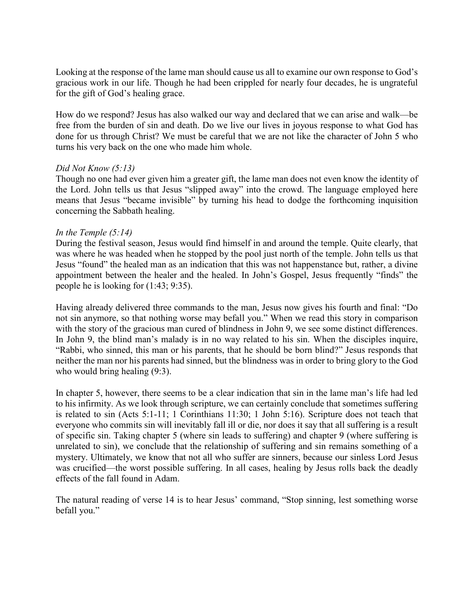Looking at the response of the lame man should cause us all to examine our own response to God's gracious work in our life. Though he had been crippled for nearly four decades, he is ungrateful for the gift of God's healing grace.

How do we respond? Jesus has also walked our way and declared that we can arise and walk—be free from the burden of sin and death. Do we live our lives in joyous response to what God has done for us through Christ? We must be careful that we are not like the character of John 5 who turns his very back on the one who made him whole.

## *Did Not Know (5:13)*

Though no one had ever given him a greater gift, the lame man does not even know the identity of the Lord. John tells us that Jesus "slipped away" into the crowd. The language employed here means that Jesus "became invisible" by turning his head to dodge the forthcoming inquisition concerning the Sabbath healing.

## *In the Temple (5:14)*

During the festival season, Jesus would find himself in and around the temple. Quite clearly, that was where he was headed when he stopped by the pool just north of the temple. John tells us that Jesus "found" the healed man as an indication that this was not happenstance but, rather, a divine appointment between the healer and the healed. In John's Gospel, Jesus frequently "finds" the people he is looking for (1:43; 9:35).

Having already delivered three commands to the man, Jesus now gives his fourth and final: "Do not sin anymore, so that nothing worse may befall you." When we read this story in comparison with the story of the gracious man cured of blindness in John 9, we see some distinct differences. In John 9, the blind man's malady is in no way related to his sin. When the disciples inquire, "Rabbi, who sinned, this man or his parents, that he should be born blind?" Jesus responds that neither the man nor his parents had sinned, but the blindness was in order to bring glory to the God who would bring healing  $(9:3)$ .

In chapter 5, however, there seems to be a clear indication that sin in the lame man's life had led to his infirmity. As we look through scripture, we can certainly conclude that sometimes suffering is related to sin (Acts 5:1-11; 1 Corinthians 11:30; 1 John 5:16). Scripture does not teach that everyone who commits sin will inevitably fall ill or die, nor does it say that all suffering is a result of specific sin. Taking chapter 5 (where sin leads to suffering) and chapter 9 (where suffering is unrelated to sin), we conclude that the relationship of suffering and sin remains something of a mystery. Ultimately, we know that not all who suffer are sinners, because our sinless Lord Jesus was crucified—the worst possible suffering. In all cases, healing by Jesus rolls back the deadly effects of the fall found in Adam.

The natural reading of verse 14 is to hear Jesus' command, "Stop sinning, lest something worse befall you."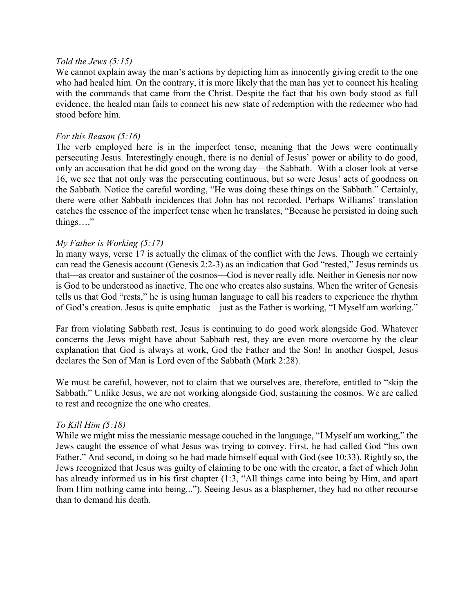## *Told the Jews (5:15)*

We cannot explain away the man's actions by depicting him as innocently giving credit to the one who had healed him. On the contrary, it is more likely that the man has yet to connect his healing with the commands that came from the Christ. Despite the fact that his own body stood as full evidence, the healed man fails to connect his new state of redemption with the redeemer who had stood before him.

# *For this Reason (5:16)*

The verb employed here is in the imperfect tense, meaning that the Jews were continually persecuting Jesus. Interestingly enough, there is no denial of Jesus' power or ability to do good, only an accusation that he did good on the wrong day—the Sabbath. With a closer look at verse 16, we see that not only was the persecuting continuous, but so were Jesus' acts of goodness on the Sabbath. Notice the careful wording, "He was doing these things on the Sabbath." Certainly, there were other Sabbath incidences that John has not recorded. Perhaps Williams' translation catches the essence of the imperfect tense when he translates, "Because he persisted in doing such things…."

# *My Father is Working (5:17)*

In many ways, verse 17 is actually the climax of the conflict with the Jews. Though we certainly can read the Genesis account (Genesis 2:2-3) as an indication that God "rested," Jesus reminds us that—as creator and sustainer of the cosmos—God is never really idle. Neither in Genesis nor now is God to be understood as inactive. The one who creates also sustains. When the writer of Genesis tells us that God "rests," he is using human language to call his readers to experience the rhythm of God's creation. Jesus is quite emphatic—just as the Father is working, "I Myself am working."

Far from violating Sabbath rest, Jesus is continuing to do good work alongside God. Whatever concerns the Jews might have about Sabbath rest, they are even more overcome by the clear explanation that God is always at work, God the Father and the Son! In another Gospel, Jesus declares the Son of Man is Lord even of the Sabbath (Mark 2:28).

We must be careful, however, not to claim that we ourselves are, therefore, entitled to "skip the Sabbath." Unlike Jesus, we are not working alongside God, sustaining the cosmos. We are called to rest and recognize the one who creates.

## *To Kill Him (5:18)*

While we might miss the messianic message couched in the language, "I Myself am working," the Jews caught the essence of what Jesus was trying to convey. First, he had called God "his own Father." And second, in doing so he had made himself equal with God (see 10:33). Rightly so, the Jews recognized that Jesus was guilty of claiming to be one with the creator, a fact of which John has already informed us in his first chapter (1:3, "All things came into being by Him, and apart from Him nothing came into being..."). Seeing Jesus as a blasphemer, they had no other recourse than to demand his death.